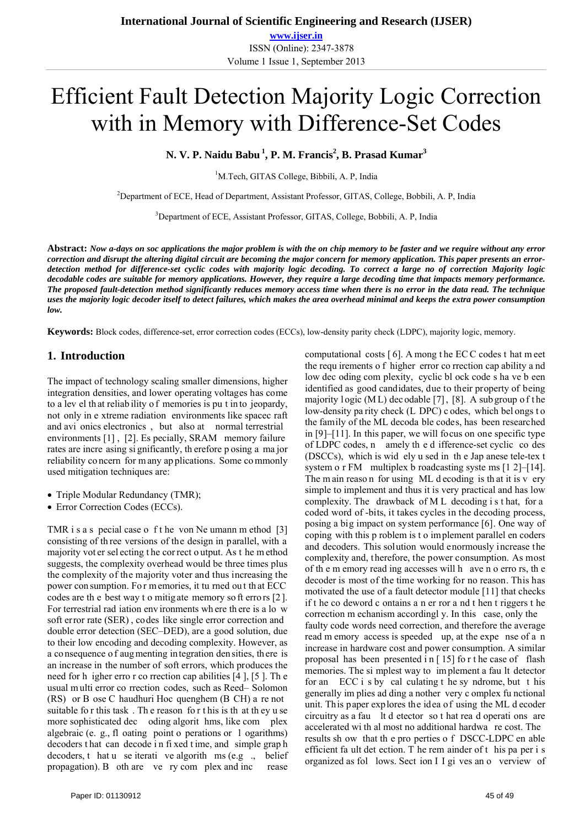# Efficient Fault Detection Majority Logic Correction with in Memory with Difference-Set Codes

N. V. P. Naidu Babu <sup>1</sup>, P. M. Francis<sup>2</sup>, B. Prasad Kumar<sup>3</sup>

<sup>1</sup>M.Tech, GITAS College, Bibbili, A. P, India

<sup>2</sup>Department of ECE, Head of Department, Assistant Professor, GITAS, College, Bobbili, A. P, India

<sup>3</sup>Department of ECE, Assistant Professor, GITAS, College, Bobbili, A. P, India

**Abstract:** *Now a-days on soc applications the major problem is with the on chip memory to be faster and we require without any error correction and disrupt the altering digital circuit are becoming the major concern for memory application. This paper presents an errordetection method for difference-set cyclic codes with majority logic decoding. To correct a large no of correction Majority logic decodable codes are suitable for memory applications. However, they require a large decoding time that impacts memory performance. The proposed fault-detection method significantly reduces memory access time when there is no error in the data read. The technique uses the majority logic decoder itself to detect failures, which makes the area overhead minimal and keeps the extra power consumption low.* 

**Keywords:** Block codes, difference-set, error correction codes (ECCs), low-density parity check (LDPC), majority logic, memory.

#### **1. Introduction**

The impact of technology scaling smaller dimensions, higher integration densities, and lower operating voltages has come to a lev el th at reliab ility o f memories is pu t in to jeopardy, not only in e xtreme radiation environments like spacec raft and avi onics electronics , but also at normal terrestrial environments [1] , [2]. Es pecially, SRAM memory failure rates are incre asing si gnificantly, th erefore p osing a ma jor reliability co ncern for m any ap plications. Some co mmonly used mitigation techniques are:

- Triple Modular Redundancy (TMR);
- Error Correction Codes (ECCs).

TMR i s a s pecial case o f t he von Ne umann m ethod [3] consisting of th ree versions of the design in parallel, with a majority vot er sel ecting t he cor rect o utput. As t he m ethod suggests, the complexity overhead would be three times plus the complexity of the majority voter and thus increasing the power con sumption. Fo r m emories, it tu rned ou t th at ECC codes are th e best way t o mitig ate memory so ft erro rs [2 ]. For terrestrial rad iation env ironments wh ere th ere is a lo w soft error rate (SER) , codes like single error correction and double error detection (SEC–DED), are a good solution, due to their low encoding and decoding complexity. However, as a co nsequence o f aug menting in tegration den sities, th ere is an increase in the number of soft errors, which produces the need for h igher erro r co rrection cap abilities [4 ], [5 ]. Th e usual m ulti error co rrection codes, such as Reed– Solomon (RS) or B ose C haudhuri Hoc quenghem (B CH) a re not suitable fo r this task . Th e reason fo r t his is th at th ey u se more sophisticated dec oding algorit hms, like com plex algebraic (e. g., fl oating point o perations or l ogarithms) decoders t hat can decode i n fi xed t ime, and simple grap h decoders, t hat u se iterati ve algorith ms (e.g., belief propagation). B oth are ve ry com plex and inc rease

low dec oding com plexity, cyclic bl ock code s ha ve b een identified as good candidates, due to their property of being majority l ogic (ML) dec odable [7], [8]. A sub group of the low-density pa rity check (L DPC) c odes, which bel ongs t o the family of the ML decoda ble codes, has been researched in [9]–[11]. In this paper, we will focus on one specific type of LDPC codes, n amely th e d ifference-set cyclic co des (DSCCs), which is wid ely u sed in th e Jap anese tele-tex t system o r FM multiplex b roadcasting systems [1 2]–[14]. The m ain reaso n for using ML d ecoding is that it is v ery simple to implement and thus it is very practical and has low complexity. The drawback of M L decoding i s t hat, for a coded word of -bits, it takes cycles in the decoding process, posing a big impact on system performance [6]. One way of coping with this p roblem is t o implement parallel en coders and decoders. This solution would enormously increase the complexity and, therefore, the power consumption. As most of th e m emory read ing accesses will h ave n o erro rs, th e decoder is most of the time working for no reason. This has motivated the use of a fault detector module [11] that checks if t he co deword c ontains a n er ror a nd t hen t riggers t he correction m echanism accordingl y. In this case, only the faulty code words need correction, and therefore the average read m emory access is speeded up, at the expe nse of a n increase in hardware cost and power consumption. A similar proposal has been presented i n [ 15] fo r t he case of flash memories. The si mplest way to im plement a fau lt detector for an ECC i s by cal culating t he sy ndrome, but t his generally im plies ad ding a nother very c omplex fu nctional unit. This paper explores the idea of using the ML d ecoder circuitry as a fau lt d etector so t hat rea d operati ons are accelerated wi th al most no additional hardwa re cost. The results sh ow that th e pro perties o f DSCC-LDPC en able efficient fa ult det ection. T he rem ainder of t his pa per i s organized as fol lows. Sect ion I I gi ves an o verview of

computational costs [ 6]. A mong t he EC C codes t hat m eet the requ irements o f higher error co rrection cap ability a nd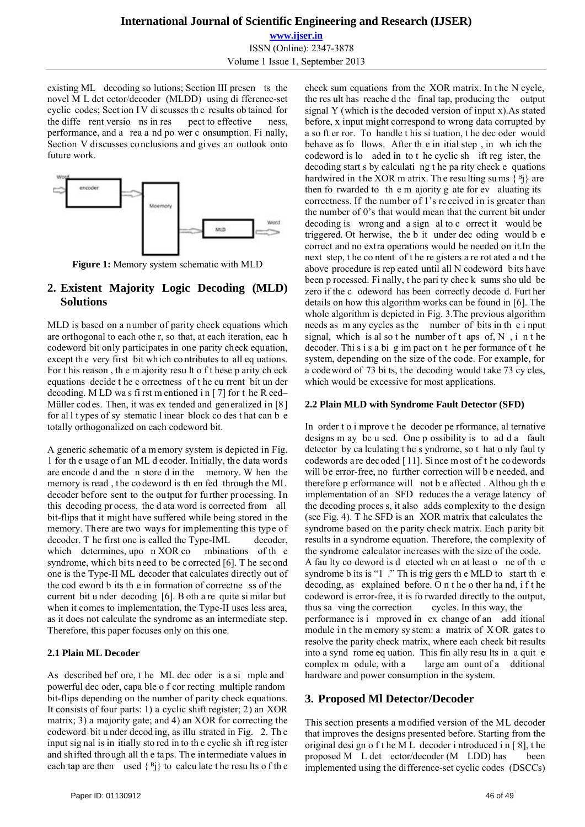**www.ijser.in** ISSN (Online): 2347-3878 Volume 1 Issue 1, September 2013

existing ML decoding so lutions; Section III presen ts the novel M L det ector/decoder (MLDD) using di fference-set cyclic codes; Sect ion I V di scusses th e results ob tained for the diffe rent versio ns in res pect to effective ness, performance, and a rea a nd po wer c onsumption. Fi nally, Section V discusses conclusions and gives an outlook onto future work.



**Figure 1:** Memory system schematic with MLD

## **2. Existent Majority Logic Decoding (MLD) Solutions**

MLD is based on a number of parity check equations which are orthogonal to each othe r, so that, at each iteration, eac h codeword bit only participates in one parity check equation, except the very first bit which contributes to all eq uations. For t his reason , th e m ajority resu lt o f t hese p arity ch eck equations decide t he c orrectness of t he cu rrent bit un der decoding. M LD wa s fi rst m entioned i n [ 7] for t he R eed– Müller codes. Then, it was ex tended and generalized in [8] for al l t ypes of sy stematic l inear block co des t hat can b e totally orthogonalized on each codeword bit.

A generic schematic of a m emory system is depicted in Fig. 1 for th e usage of an ML d ecoder. Initially, the data words are encode d and the n store d in the memory. W hen the memory is read, the co deword is then fed through the ML decoder before sent to the output for further processing. In this decoding pr ocess, the d ata word is corrected from all bit-flips that it might have suffered while being stored in the memory. There are two ways for implementing this type of decoder. T he first one is called the Type-IML decoder, which determines, upo n XOR co mbinations of the syndrome, which bits need to be corrected [6]. T he second one is the Type-II ML decoder that calculates directly out of the cod eword b its th e in formation of correctne ss of the current bit u nder decoding [6]. B oth a re quite si milar but when it comes to implementation, the Type-II uses less area, as it does not calculate the syndrome as an intermediate step. Therefore, this paper focuses only on this one.

## **2.1 Plain ML Decoder**

As described bef ore, t he ML dec oder is a si mple and powerful dec oder, capa ble o f cor recting multiple random bit-flips depending on the number of parity check equations. It consists of four parts: 1) a cyclic shift register; 2) an XOR matrix; 3) a majority gate; and 4) an XOR for correcting the codeword bit u nder decod ing, as illu strated in Fig. 2. Th e input sig nal is in itially sto red in to th e cyclic sh ift reg ister and shifted through all th e taps. The intermediate values in each tap are then used  $\{B_i\}$  to calculate the results of the check sum equations from the XOR matrix. In t he N cycle, the res ult has reache d the final tap, producing the output signal Y (which is the decoded version of input x).As stated before, x input might correspond to wrong data corrupted by a so ft er ror. To handle t his si tuation, t he dec oder would behave as fo llows. After th e in itial step , in wh ich the codeword is lo aded in to t he cyclic sh ift reg ister, the decoding start s by calculati ng t he pa rity check e quations hardwired in the XOR m atrix. The resulting sums  $\{^B_i\}$  are then fo rwarded to th e m ajority g ate for ev aluating its correctness. If the number of 1's re ceived in is greater than the number of 0's that would mean that the current bit under decoding is wrong and a sign al to c orrect it would be triggered. Ot herwise, the b it under dec oding would b e correct and no extra operations would be needed on it.In the next step, t he co ntent of t he re gisters a re rot ated a nd t he above procedure is rep eated until all N codeword bits have been p rocessed. Fi nally, t he pari ty chec k sums sho uld be zero if the c odeword has been correctly decode d. Furt her details on how this algorithm works can be found in [6]. The whole algorithm is depicted in Fig. 3.The previous algorithm needs as m any cycles as the number of bits in th e i nput signal, which is al so the number of t aps of,  $N$ , i n the decoder. Thi s i s a bi g im pact on t he per formance of t he system, depending on the size of the code. For example, for a codeword of 73 bi ts, the decoding would take 73 cy cles, which would be excessive for most applications.

### **2.2 Plain MLD with Syndrome Fault Detector (SFD)**

In order t o i mprove t he decoder pe rformance, al ternative designs m ay be u sed. One p ossibility is to ad d a fault detector by ca lculating t he s yndrome, so t hat o nly faul ty codewords a re dec oded [ 11]. Si nce m ost of t he co dewords will be error-free, no further correction will be needed, and therefore p erformance will not b e affected . Althou gh th e implementation of an SFD reduces the a verage latency of the decoding proces s, it also adds complexity to the design (see Fig. 4). T he SFD is an XOR matrix that calculates the syndrome based on the parity check matrix. Each parity bit results in a syndrome equation. Therefore, the complexity of the syndrome calculator increases with the size of the code. A fau lty co deword is d etected wh en at least o ne of th e syndrome b its is "1". Th is trig gers the MLD to start the decoding, as explained before. O n t he o ther ha nd, i f t he codeword is error-free, it is fo rwarded directly to the output, thus sa ving the correction cycles. In this way, the performance is i mproved in ex change of an add itional module in the m emory sy stem: a matrix of  $XOR$  gates to resolve the parity check matrix, where each check bit results into a synd rome eq uation. This fin ally resu lts in a quit e complex m odule, with a large am ount of a dditional hardware and power consumption in the system.

## **3. Proposed Ml Detector/Decoder**

This section presents a modified version of the ML decoder that improves the designs presented before. Starting from the original desi gn o f t he M L decoder i ntroduced i n [ 8], t he proposed M L det ector/decoder (M LDD) has been implemented using the difference-set cyclic codes (DSCCs)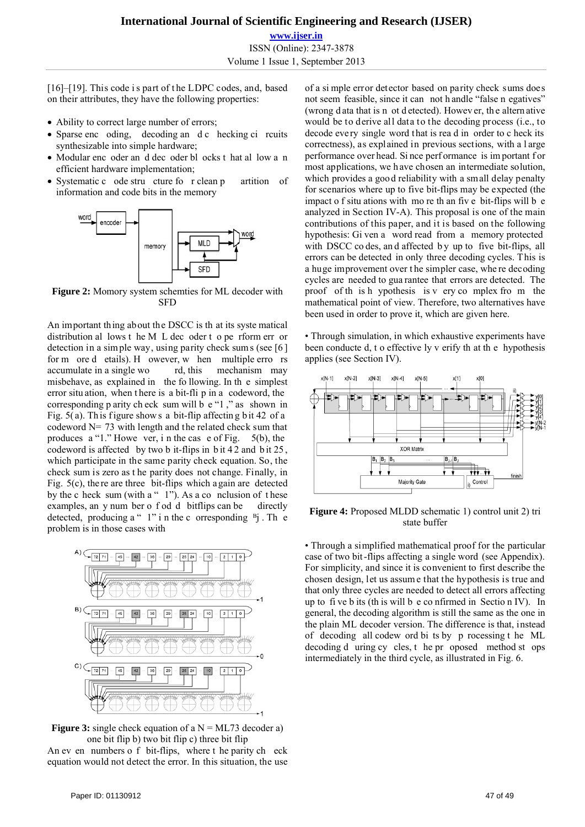**www.ijser.in** ISSN (Online): 2347-3878 Volume 1 Issue 1, September 2013

[16]–[19]. This code is part of the LDPC codes, and, based on their attributes, they have the following properties:

- Ability to correct large number of errors;
- Sparse enc oding, decoding an d c hecking ci rcuits synthesizable into simple hardware;
- Modular enc oder an d dec oder bl ocks t hat al low a n efficient hardware implementation;
- Systematic c ode stru cture fo r clean p artition of information and code bits in the memory



**Figure 2:** Momory system schemties for ML decoder with SFD

An important thing about the DSCC is th at its syste matical distribution al lows t he M L dec oder t o pe rform err or detection in a sim ple way, using parity check sum s (see [6 ] for m ore d etails). H owever, w hen multiple erro rs accumulate in a single wo rd, this mechanism may accumulate in a single wo rd, this misbehave, as explained in the fo llowing. In th e simplest error situ ation, when t here is a bit-fli p in a codeword, the corresponding p arity ch eck sum will b e "1 ," as shown in Fig.  $5(a)$ . Th is figure shows a bit-flip affecting bit 42 of a codeword N= 73 with length and the related check sum that produces a "1." Howe ver, i n the cas e of Fig. 5(b), the codeword is affected by two b it-flips in  $bit 42$  and  $bit 25$ . which participate in the same parity check equation. So, the check sum is zero as t he parity does not change. Finally, in Fig. 5(c), the re are three bit-flips which a gain are detected by the c heck sum (with a " $1$ "). As a co nclusion of these examples, an y num ber o f od d bitflips can be directly detected, producing a "  $1$ " i n the c orresponding  $B_j$ . Th e problem is in those cases with



**Figure 3:** single check equation of a  $N = ML73$  decoder a) one bit flip b) two bit flip c) three bit flip

An ev en numbers o f bit-flips, where t he parity ch eck equation would not detect the error. In this situation, the use of a si mple error detector based on parity check sums does not seem feasible, since it can not h andle "false n egatives" (wrong d ata that is n ot d etected). Howev er, th e altern ative would be to derive all data to the decoding process (i.e., to decode every single word that is rea d in order to c heck its correctness), as explained in previous sections, with a l arge performance over head. Si nce perf ormance is im portant f or most applications, we h ave chosen an intermediate solution, which provides a good reliability with a small delay penalty for scenarios where up to five bit-flips may be expected (the impact o f situ ations with mo re th an fiv e bit-flips will b e analyzed in Section IV-A). This proposal is one of the main contributions of this paper, and it is based on the following hypothesis: Gi ven a word read from a memory protected with DSCC co des, and affected by up to five bit-flips, all errors can be detected in only three decoding cycles. This is a huge improvement over t he simpler case, whe re decoding cycles are needed to gua rantee that errors are detected. The proof of th is h ypothesis is v ery co mplex fro m the mathematical point of view. Therefore, two alternatives have been used in order to prove it, which are given here.

• Through simulation, in which exhaustive experiments have been conducte d, t o effective ly v erify th at th e hypothesis applies (see Section IV).



**Figure 4:** Proposed MLDD schematic 1) control unit 2) tri state buffer

• Through a simplified mathematical proof for the particular case of two bit-flips affecting a single word (see Appendix). For simplicity, and since it is convenient to first describe the chosen design, let us assum e that the hypothesis is true and that only three cycles are needed to detect all errors affecting up to fi ve b its (th is will b e co nfirmed in Sectio n IV). In general, the decoding algorithm is still the same as the one in the plain ML decoder version. The difference is that, instead of decoding all codew ord bi ts by p rocessing t he ML decoding d uring cy cles, t he pr oposed method st ops intermediately in the third cycle, as illustrated in Fig. 6.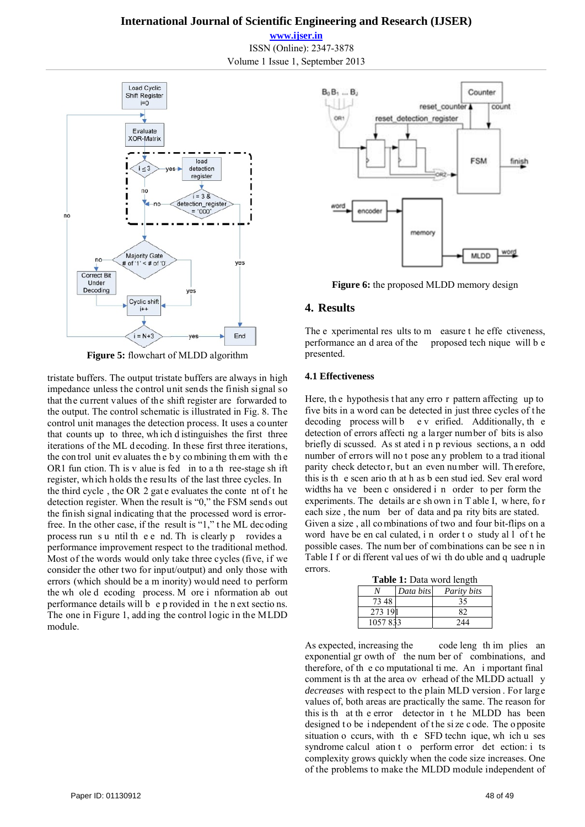#### **International Journal of Scientific Engineering and Research (IJSER)**

**www.ijser.in** ISSN (Online): 2347-3878 Volume 1 Issue 1, September 2013



**Figure 5:** flowchart of MLDD algorithm

tristate buffers. The output tristate buffers are always in high impedance unless the control unit sends the finish signal so that the current values of the shift register are forwarded to the output. The control schematic is illustrated in Fig. 8. The control unit manages the detection process. It uses a counter that counts up to three, wh ich d istinguishes the first three iterations of the ML d ecoding. In these first three iterations, the con trol unit ev aluates th e b y co mbining th em with th e OR1 fun ction. Th is v alue is fed in to a th ree-stage sh ift register, which holds the results of the last three cycles. In the third cycle , the OR 2 gat e evaluates the conte nt of t he detection register. When the result is "0," the FSM sends out the finish signal indicating that the processed word is errorfree. In the other case, if the result is "1," t he ML dec oding process run s u ntil th e e nd. Th is clearly p rovides a performance improvement respect to the traditional method. Most of the words would only take three cycles (five, if we consider the other two for input/output) and only those with errors (which should be a m inority) would need to perform the wh ole d ecoding process. M ore i nformation ab out performance details will b e p rovided in t he n ext sectio ns. The one in Figure 1, add ing the control logic in the MLDD module.



**Figure 6:** the proposed MLDD memory design

#### **4. Results**

The e xperimental res ults to m easure t he effe ctiveness. performance an d area of the proposed tech nique will b e presented.

#### **4.1 Effectiveness**

Here, the hypothesis that any erro r pattern affecting up to five bits in a word can be detected in just three cycles of t he decoding process will b e v erified. Additionally, th e detection of errors affecti ng a larger number of bits is also briefly di scussed. As st ated i n p revious sections, a n odd number of errors will no t pose any problem to a trad itional parity check detecto r, bu t an even nu mber will. Th erefore, this is th e scen ario th at h as b een stud ied. Sev eral word widths ha ve been c onsidered i n order to per form the experiments. The details are shown in T able I, where, for each size , the num ber of data and pa rity bits are stated. Given a size , all co mbinations of two and four bit-flips on a word have be en cal culated, i n order t o study al l of t he possible cases. The num ber of combinations can be see n in Table I f or di fferent val ues of wi th do uble and q uadruple errors.

| <b>Table 1:</b> Data word length |           |                   |  |
|----------------------------------|-----------|-------------------|--|
|                                  | Data bits | Parity bits       |  |
| 73 48                            |           | 35                |  |
| 273 191                          |           | 82                |  |
| 1057833                          |           | $\gamma_{\it 44}$ |  |

As expected, increasing the code leng th im plies an exponential gr owth of the num ber of combinations, and therefore, of th e co mputational ti me. An i mportant final comment is th at the area ov erhead of the MLDD actuall y *decreases* with respect to the plain MLD version . For large values of, both areas are practically the same. The reason for this is th at th e error detector in t he MLDD has been designed to be independent of the size c ode. The opposite situation o ccurs, with th e SFD techn ique, wh ich u ses syndrome calcul ation t o perform error det ection: i ts complexity grows quickly when the code size increases. One of the problems to make the MLDD module independent of